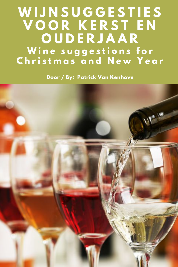# **W I J N S U G G E S T I E S V O O R K E R S T E N O U D E R J A A R W i n e s u g g e s t i o n s f o r C h r i s t m a s a n d N e w Y e a r**

**Door / By: Patrick Van Kenhove**

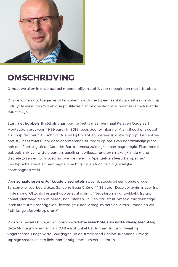

# OMSCHRIJVING

Omdat we allen in onze bubbel moeten blijven stel ik voor te beginnen met … bubbels.

Om de wijnen vlot toegankelijk te maken hou ik me bij een aantal suggesties die vlot bij Colruyt te verkrijgen zijn en qua prijsklasse niet de goedkoopste, maar zeker ook niet de duurste zijn.

Start met **bubbels**. Ik stel als champagne (het is maar éénmaal Kerst en Oudejaar) Montaudon brut voor (19,99 euro). In 2018 reeds door wijnkenner Alain Bloeykens getipt als 'coup de coeur'. Hij schrijft: "Nieuw bij Colruyt en meteen in onze "top vijf". Een entree met stijl heet zoiets, voor deze charmerende fruitbom op basis van hoofdzakelijk pinot noir en afkomstig uit de Côte des Bar, de meest zuidelijke champagneregio. Flatterende bubbels, mix van witte bloemen, perzik en abrikoos, rond en smakelijk in de mond, discrete zuren en toch goed fris over de hele lijn. Aperitief- en feestchampagne." Een typische aperitiefchampagne. Krachtig, fris en toch fruitig (zuidelijke champagnestreek).

Voor **schaaldieren en/of koude visschotels** zweer ik steeds bij een goede droge Sancerre, bijvoorbeeld deze Sancerre Beau Chêne (14,99 euro). Deze Loirewijn is zeer fris in de mond. Of zoals Testaankoop terecht schrijft: "Neus (aroma): ontwikkeld, fruitig, floraal, plantaardig en mineraal; hooi, stenen, kalk en citrusfruit. Smaak: middelmatige intensiteit, strak mondgevoel, levendige zuren, droog; mineralen, citrus, limoen en wit fruit; lange afdronk; op dronk"

Voor wie het iets fruitiger wil (ook voor **warme visschotels en witte vleesgerechten**): deze Montagny Premier cru (10,49 euro). Enkel Cardonnay druiven. Ideaal bij visgerechten. Droge witte Bourgogne uit de streek rond Chalon-sur-Saône. Stevige, sappige smaak en een licht nootachtig aroma, minerale tinten.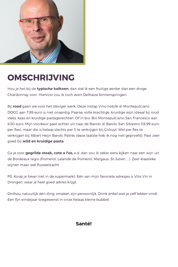

# OMSCHRIJVING

Hou je het bij de **typische kalkoen**, dan stel ik een fruitige eerder dan een droge Chardonnay voor. Hiervoor zou ik toch even Delhaize binnenspringen.

Bij **rood** gaan we voor het steviger werk. Deze instap Vino nobile di Montepulciano DOCG aan 7,99 euro is niet onaardig. Paarse, volle krachtige, kruidige wijn ideaal bij rood vlees, kaas en kruidige pastagerechten. Of in bio: Bio Montepulciano San Francesco aan 8,50 euro. Mijn voorkeur gaat echter uit naar de Barolo di Barolo San Silvestro (18,99 euro per fles), maar die is helaas slechts per 3 te verkrijgen bij Colruyt. Wel per fles te verkrijgen bij Albert Heijn Barolo Patres (deze laatste heb ik nog niet geproefd). Past zeer goed bij **wild en kruidige pasta**.

Ga je voor **gegrilde steak, cote a l'os,** e.d. dan zou ik zeker eens kijken naar een wijn uit de Bordeaux regio (Pomerol, Lalande de Pomerol, Margaux, St-Julien, …). Zeer klassieke wijnen maar wel fluweelzacht.

PS. Koop je liever niet in de supermarkt: Eén van mijn favoriete adresjes is Vitis Vin in Drongen, waar je heel goed advies krijgt.

Onthou natuurlijk één ding: smaken zijn persoonlijk. Drink enkel wat je zelf lekker vindt. Een fijn eindejaar toegewenst in onze helaas kleine bubbel.

#### **Santé!**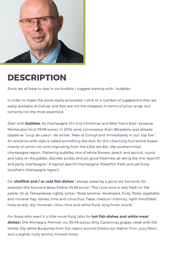

### DESCRIPTION

Since we all have to stay in our bubble, I suggest starting with… bubbles.

In order to make the wines easily accessible, I stick to a number of suggestions that are easily available at Colruyt and that are not the cheapest in terms of price range, but certainly not the most expensive.

Start with **bubbles**. As champagne (it's only Christmas and New Year's Eve) I propose Montaudon brut (19.99 euros). In 2018, wine connoisseur Alain Bloeykens was already tipped as "coup de coeur". He writes: "New at Colruyt and immediately in our" top five ". An entrance with style is called something like that, for this charming fruit bomb based mainly on pinot noir and originating from the Côte des Bar, the southernmost champagne region. Flattering bubbles, mix of white flowers, peach and apricot, round and tasty on the palate, discrete acidity and yet good freshness all along the line. Aperitif and party champagne." A typical aperitif champagne. Powerful, fresh and yet fruity (southern champagne region).

For **shellfish and / or cold fish dishes** I always swear by a good dry Sancerre, for example this Sancerre Beau Chêne (14.99 euros). This Loire wine is very fresh on the palate. Or as Testaankoop rightly writes: "Nose (aroma): developed, fruity, floral, vegetable and mineral; hay, stones, lime and citrus fruit. Taste: medium intensity, tight mouthfeel, lively acidity, dry; minerals, citrus, lime and white fruits; long finish; drunk "

For those who want it a little more fruity (also for **hot fish dishes and white meat dishes**): this Montagny Premier cru (10.49 euros). Only Cardonnay grapes. Ideal with fish dishes. Dry white Burgundy from the region around Chalon-sur-Saône. Firm, juicy flavor and a slightly nutty aroma, mineral tones.